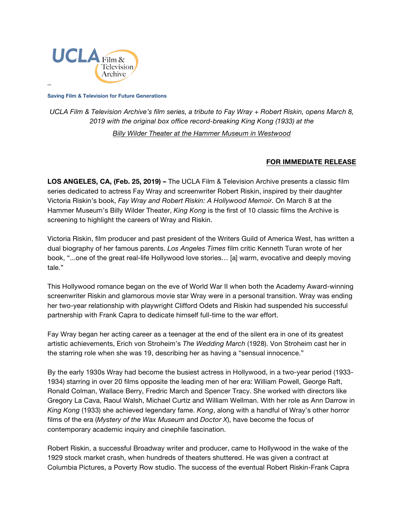

**Saving Film & Television for Future Generations**

*UCLA Film & Television Archive's film series, a tribute to Fay Wray + Robert Riskin, opens March 8, 2019 with the original box office record-breaking King Kong (1933) at the Billy Wilder Theater [at the Hammer Museum in Westwood](https://www.cinema.ucla.edu/billy-wilder-theater)*

## **FOR IMMEDIATE RELEASE**

**LOS ANGELES, CA, (Feb. 25, 2019) –** The UCLA Film & Television Archive presents a classic film series dedicated to actress Fay Wray and screenwriter Robert Riskin, inspired by their daughter Victoria Riskin's book, *Fay Wray and Robert Riskin: A Hollywood Memoir*. On March 8 at the Hammer Museum's Billy Wilder Theater, *King Kong* is the first of 10 classic films the Archive is screening to highlight the careers of Wray and Riskin.

Victoria Riskin, film producer and past president of the Writers Guild of America West, has written a dual biography of her famous parents. *Los Angeles Times* film critic Kenneth Turan wrote of her book, "...one of the great real-life Hollywood love stories… [a] warm, evocative and deeply moving tale."

This Hollywood romance began on the eve of World War II when both the Academy Award-winning screenwriter Riskin and glamorous movie star Wray were in a personal transition. Wray was ending her two-year relationship with playwright Clifford Odets and Riskin had suspended his successful partnership with Frank Capra to dedicate himself full-time to the war effort.

Fay Wray began her acting career as a teenager at the end of the silent era in one of its greatest artistic achievements, Erich von Stroheim's *The Wedding March* (1928). Von Stroheim cast her in the starring role when she was 19, describing her as having a "sensual innocence."

By the early 1930s Wray had become the busiest actress in Hollywood, in a two-year period (1933- 1934) starring in over 20 films opposite the leading men of her era: William Powell, George Raft, Ronald Colman, Wallace Berry, Fredric March and Spencer Tracy. She worked with directors like Gregory La Cava, Raoul Walsh, Michael Curtiz and William Wellman. With her role as Ann Darrow in *King Kong* (1933) she achieved legendary fame. *Kong*, along with a handful of Wray's other horror films of the era (*Mystery of the Wax Museum* and *Doctor X*), have become the focus of contemporary academic inquiry and cinephile fascination.

Robert Riskin, a successful Broadway writer and producer, came to Hollywood in the wake of the 1929 stock market crash, when hundreds of theaters shuttered. He was given a contract at Columbia Pictures, a Poverty Row studio. The success of the eventual Robert Riskin-Frank Capra